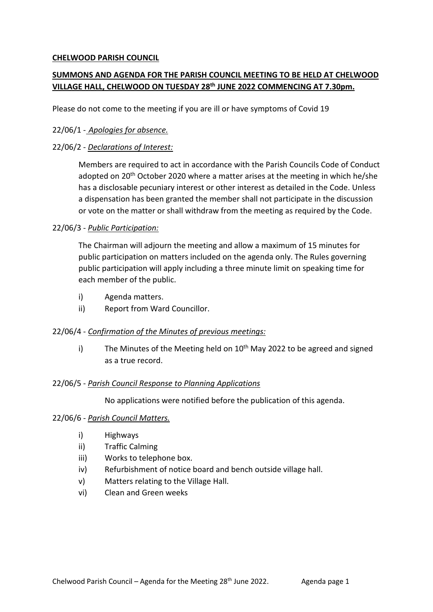# **CHELWOOD PARISH COUNCIL**

# **SUMMONS AND AGENDA FOR THE PARISH COUNCIL MEETING TO BE HELD AT CHELWOOD VILLAGE HALL, CHELWOOD ON TUESDAY 28th JUNE 2022 COMMENCING AT 7.30pm.**

Please do not come to the meeting if you are ill or have symptoms of Covid 19

# 22/06/1 - *Apologies for absence.*

# 22/06/2 - *Declarations of Interest:*

Members are required to act in accordance with the Parish Councils Code of Conduct adopted on 20<sup>th</sup> October 2020 where a matter arises at the meeting in which he/she has a disclosable pecuniary interest or other interest as detailed in the Code. Unless a dispensation has been granted the member shall not participate in the discussion or vote on the matter or shall withdraw from the meeting as required by the Code.

## 22/06/3 - *Public Participation:*

The Chairman will adjourn the meeting and allow a maximum of 15 minutes for public participation on matters included on the agenda only. The Rules governing public participation will apply including a three minute limit on speaking time for each member of the public.

- i) Agenda matters.
- ii) Report from Ward Councillor.

#### 22/06/4 - *Confirmation of the Minutes of previous meetings:*

i) The Minutes of the Meeting held on  $10<sup>th</sup>$  May 2022 to be agreed and signed as a true record.

#### 22/06/5 - *Parish Council Response to Planning Applications*

No applications were notified before the publication of this agenda.

#### 22/06/6 - *Parish Council Matters.*

- i) Highways
- ii) Traffic Calming
- iii) Works to telephone box.
- iv) Refurbishment of notice board and bench outside village hall.
- v) Matters relating to the Village Hall.
- vi) Clean and Green weeks